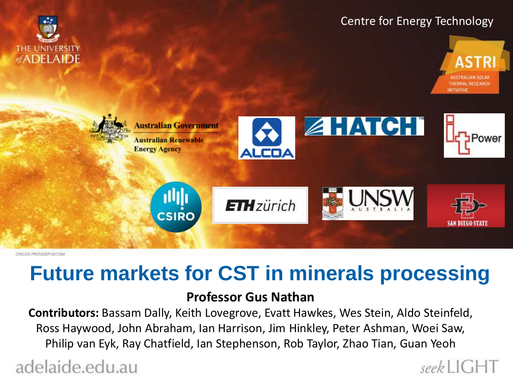





CRICOS PROVIDER CO123M

THE UNIVERSITY of ADELAIDE

# **Future markets for CST in minerals processing**

#### **Professor Gus Nathan**

**Contributors:** Bassam Dally, Keith Lovegrove, Evatt Hawkes, Wes Stein, Aldo Steinfeld, Ross Haywood, John Abraham, Ian Harrison, Jim Hinkley, Peter Ashman, Woei Saw, Philip van Eyk, Ray Chatfield, Ian Stephenson, Rob Taylor, Zhao Tian, Guan Yeoh

adelaide.edu.au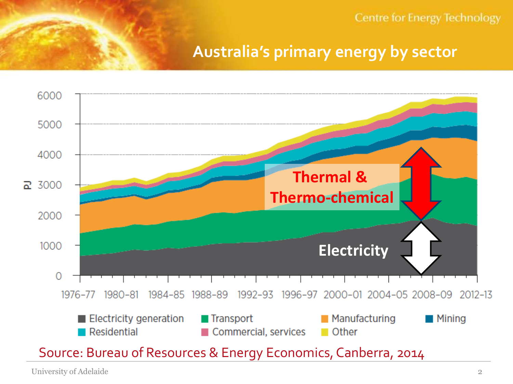## **Australia's primary energy by sector**



University of Adelaide 2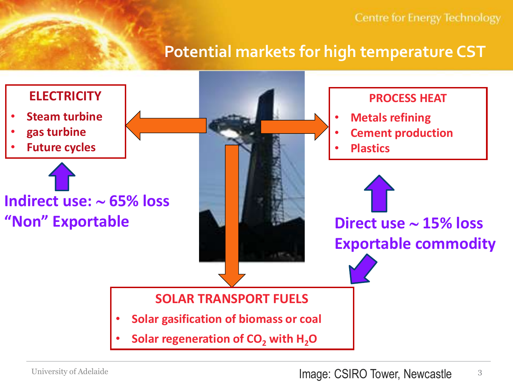## **Potential markets for high temperature CST**

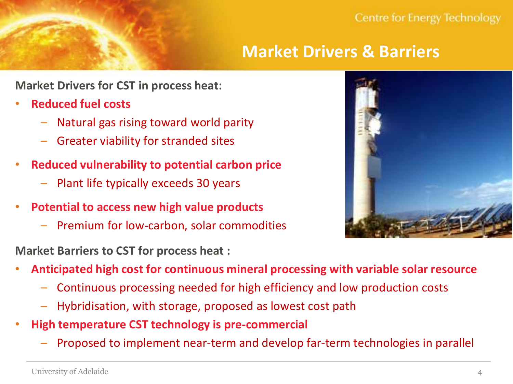# **Market Drivers & Barriers**

**Market Drivers for CST in process heat:**

- **Reduced fuel costs** 
	- Natural gas rising toward world parity
	- Greater viability for stranded sites
- **Reduced vulnerability to potential carbon price** 
	- Plant life typically exceeds 30 years
- **Potential to access new high value products**
	- Premium for low-carbon, solar commodities

**Market Barriers to CST for process heat :**

- **Anticipated high cost for continuous mineral processing with variable solar resource**
	- Continuous processing needed for high efficiency and low production costs
	- Hybridisation, with storage, proposed as lowest cost path
- **High temperature CST technology is pre-commercial**
	- Proposed to implement near-term and develop far-term technologies in parallel

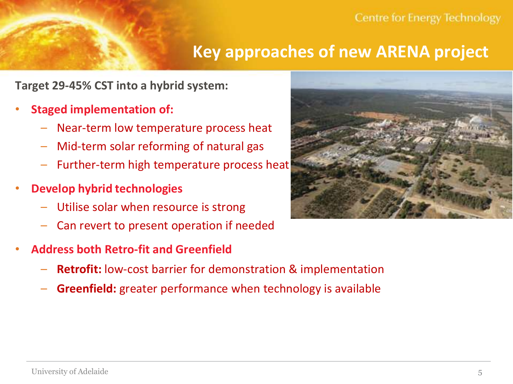## **Key approaches of new ARENA project**

**Target 29-45% CST into a hybrid system:**

- **Staged implementation of:**
	- Near-term low temperature process heat
	- Mid-term solar reforming of natural gas
	- Further-term high temperature process heat
- **Develop hybrid technologies**
	- Utilise solar when resource is strong
	- Can revert to present operation if needed
- **Address both Retro-fit and Greenfield**
	- **Retrofit:** low-cost barrier for demonstration & implementation
	- **Greenfield:** greater performance when technology is available

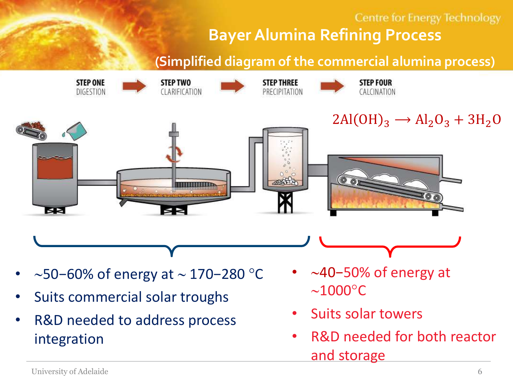## **Centre for Energy Technology Bayer Alumina Refining Process**

**(Simplified diagram of the commercial alumina process)**



- ~50−60% of energy at ~ 170−280 °C
- Suits commercial solar troughs
- R&D needed to address process integration
- 40−50% of energy at  $\sim$ 1000 $^{\circ}$ C
- Suits solar towers
- R&D needed for both reactor and storage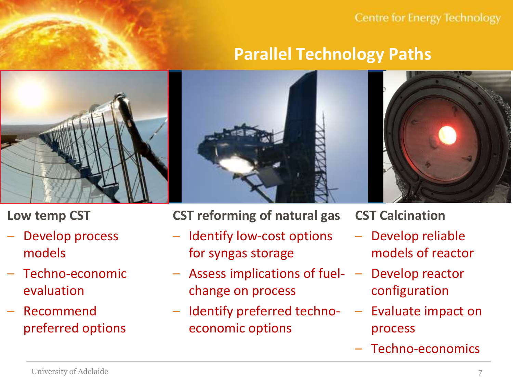# **Parallel Technology Paths**



**Low temp CST**

- Develop process models
- Techno-economic evaluation
- Recommend preferred options

**CST reforming of natural gas**

- Identify low-cost options for syngas storage
- Assess implications of fuel- Develop reactor change on process
- Identify preferred techno- Evaluate impact on economic options

**CST Calcination**

- Develop reliable models of reactor
- configuration
- process
- Techno-economics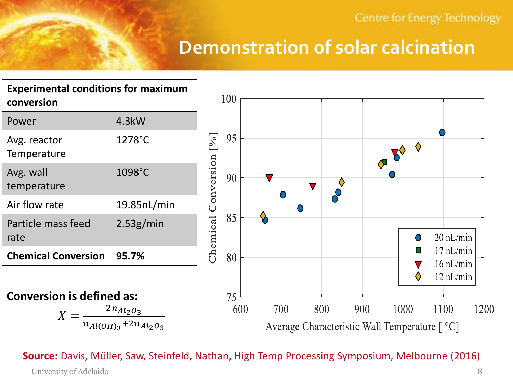# **Demonstration of solar calcination**

#### **Experimental conditions for maximum conversion**

| Power                       | $4.3$ kW          |
|-----------------------------|-------------------|
| Avg. reactor<br>Temperature | 1278°C            |
| Avg. wall<br>temperature    | 1098°C            |
| Air flow rate               | $19.85$ n $L/min$ |
| Particle mass feed<br>rate  | 2.53g/min         |
| <b>Chemical Conversion</b>  | 95.7%             |



**Conversion is defined as:**

$$
X = \frac{2n_{Al_2O_3}}{n_{Al(OH)_3} + 2n_{Al_2O_3}}
$$

**Source:** Davis, Müller, Saw, Steinfeld, Nathan, High Temp Processing Symposium, Melbourne (2016)

University of Adelaide 8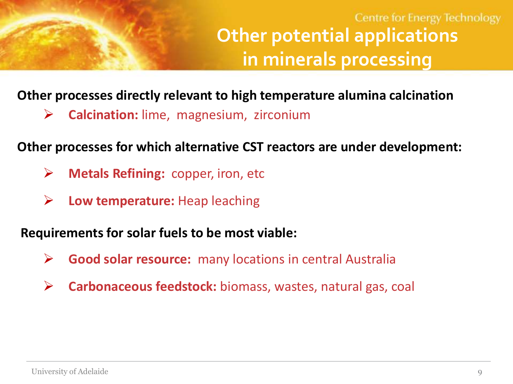# **Centre for Energy Technology Other potential applications in minerals processing**

## **Other processes directly relevant to high temperature alumina calcination**

**Calcination:** lime, magnesium, zirconium

## **Other processes for which alternative CST reactors are under development:**

- **Metals Refining:** copper, iron, etc
- **Low temperature:** Heap leaching

## **Requirements for solar fuels to be most viable:**

- **Good solar resource:** many locations in central Australia
- **Carbonaceous feedstock:** biomass, wastes, natural gas, coal